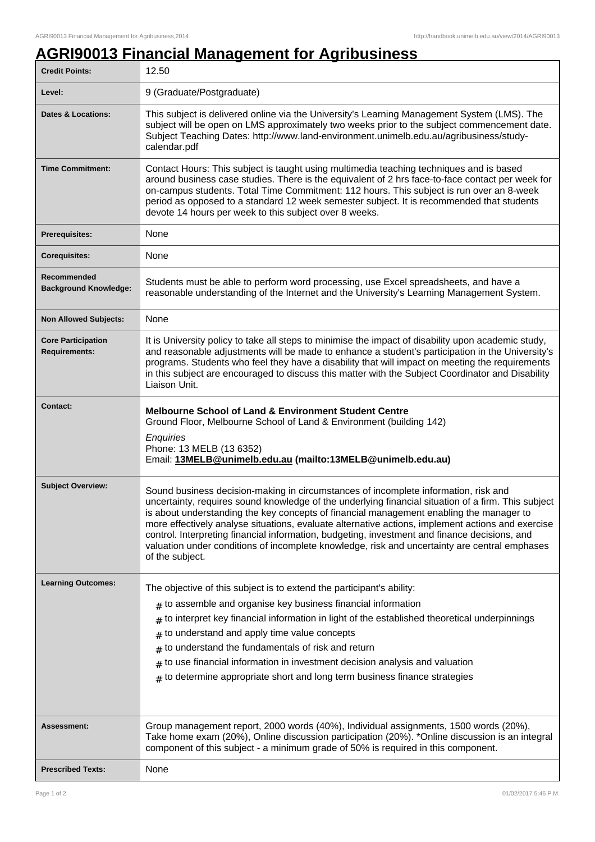## **AGRI90013 Financial Management for Agribusiness**

| <b>Credit Points:</b>                             | 12.50                                                                                                                                                                                                                                                                                                                                                                                                                                                                                                                                                                                                           |
|---------------------------------------------------|-----------------------------------------------------------------------------------------------------------------------------------------------------------------------------------------------------------------------------------------------------------------------------------------------------------------------------------------------------------------------------------------------------------------------------------------------------------------------------------------------------------------------------------------------------------------------------------------------------------------|
| Level:                                            | 9 (Graduate/Postgraduate)                                                                                                                                                                                                                                                                                                                                                                                                                                                                                                                                                                                       |
| <b>Dates &amp; Locations:</b>                     | This subject is delivered online via the University's Learning Management System (LMS). The<br>subject will be open on LMS approximately two weeks prior to the subject commencement date.<br>Subject Teaching Dates: http://www.land-environment.unimelb.edu.au/agribusiness/study-<br>calendar.pdf                                                                                                                                                                                                                                                                                                            |
| <b>Time Commitment:</b>                           | Contact Hours: This subject is taught using multimedia teaching techniques and is based<br>around business case studies. There is the equivalent of 2 hrs face-to-face contact per week for<br>on-campus students. Total Time Commitment: 112 hours. This subject is run over an 8-week<br>period as opposed to a standard 12 week semester subject. It is recommended that students<br>devote 14 hours per week to this subject over 8 weeks.                                                                                                                                                                  |
| <b>Prerequisites:</b>                             | None                                                                                                                                                                                                                                                                                                                                                                                                                                                                                                                                                                                                            |
| <b>Corequisites:</b>                              | None                                                                                                                                                                                                                                                                                                                                                                                                                                                                                                                                                                                                            |
| Recommended<br><b>Background Knowledge:</b>       | Students must be able to perform word processing, use Excel spreadsheets, and have a<br>reasonable understanding of the Internet and the University's Learning Management System.                                                                                                                                                                                                                                                                                                                                                                                                                               |
| <b>Non Allowed Subjects:</b>                      | None                                                                                                                                                                                                                                                                                                                                                                                                                                                                                                                                                                                                            |
| <b>Core Participation</b><br><b>Requirements:</b> | It is University policy to take all steps to minimise the impact of disability upon academic study,<br>and reasonable adjustments will be made to enhance a student's participation in the University's<br>programs. Students who feel they have a disability that will impact on meeting the requirements<br>in this subject are encouraged to discuss this matter with the Subject Coordinator and Disability<br>Liaison Unit.                                                                                                                                                                                |
| <b>Contact:</b>                                   | <b>Melbourne School of Land &amp; Environment Student Centre</b><br>Ground Floor, Melbourne School of Land & Environment (building 142)<br>Enquiries<br>Phone: 13 MELB (13 6352)<br>Email: 13MELB@unimelb.edu.au (mailto:13MELB@unimelb.edu.au)                                                                                                                                                                                                                                                                                                                                                                 |
| <b>Subject Overview:</b>                          | Sound business decision-making in circumstances of incomplete information, risk and<br>uncertainty, requires sound knowledge of the underlying financial situation of a firm. This subject<br>is about understanding the key concepts of financial management enabling the manager to<br>more effectively analyse situations, evaluate alternative actions, implement actions and exercise<br>control. Interpreting financial information, budgeting, investment and finance decisions, and<br>valuation under conditions of incomplete knowledge, risk and uncertainty are central emphases<br>of the subject. |
| <b>Learning Outcomes:</b>                         | The objective of this subject is to extend the participant's ability:<br>$#$ to assemble and organise key business financial information<br>to interpret key financial information in light of the established theoretical underpinnings<br>#<br>to understand and apply time value concepts<br>#<br>to understand the fundamentals of risk and return<br>$\#$<br>to use financial information in investment decision analysis and valuation<br>#<br>$*$ to determine appropriate short and long term business finance strategies                                                                               |
| <b>Assessment:</b>                                | Group management report, 2000 words (40%), Individual assignments, 1500 words (20%),<br>Take home exam (20%), Online discussion participation (20%). *Online discussion is an integral<br>component of this subject - a minimum grade of 50% is required in this component.                                                                                                                                                                                                                                                                                                                                     |
| <b>Prescribed Texts:</b>                          | None                                                                                                                                                                                                                                                                                                                                                                                                                                                                                                                                                                                                            |